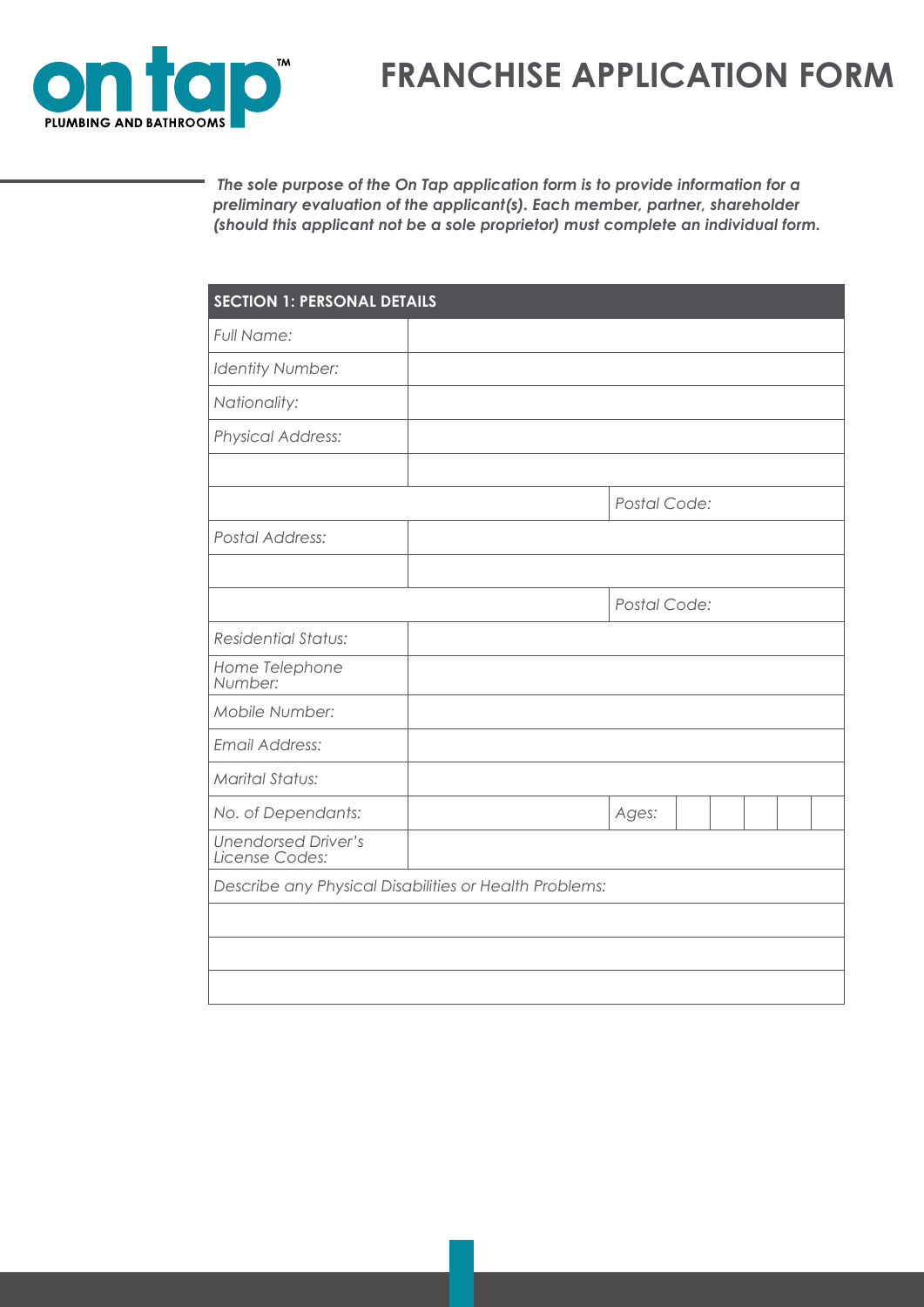

## **FRANCHISE APPLICATION FORM**

*The sole purpose of the On Tap application form is to provide information for a preliminary evaluation of the applicant(s). Each member, partner, shareholder (should this applicant not be a sole proprietor) must complete an individual form.*

| <b>SECTION 1: PERSONAL DETAILS</b>                     |  |  |  |              |  |  |  |
|--------------------------------------------------------|--|--|--|--------------|--|--|--|
| Full Name:                                             |  |  |  |              |  |  |  |
| Identity Number:                                       |  |  |  |              |  |  |  |
| Nationality:                                           |  |  |  |              |  |  |  |
| <b>Physical Address:</b>                               |  |  |  |              |  |  |  |
|                                                        |  |  |  |              |  |  |  |
|                                                        |  |  |  | Postal Code: |  |  |  |
| <b>Postal Address:</b>                                 |  |  |  |              |  |  |  |
|                                                        |  |  |  |              |  |  |  |
|                                                        |  |  |  | Postal Code: |  |  |  |
| <b>Residential Status:</b>                             |  |  |  |              |  |  |  |
| Home Telephone<br>Number:                              |  |  |  |              |  |  |  |
| Mobile Number:                                         |  |  |  |              |  |  |  |
| Email Address:                                         |  |  |  |              |  |  |  |
| <b>Marital Status:</b>                                 |  |  |  |              |  |  |  |
| No. of Dependants:                                     |  |  |  | Ages:        |  |  |  |
| <b>Unendorsed Driver's</b><br>License Codes:           |  |  |  |              |  |  |  |
| Describe any Physical Disabilities or Health Problems: |  |  |  |              |  |  |  |
|                                                        |  |  |  |              |  |  |  |
|                                                        |  |  |  |              |  |  |  |
|                                                        |  |  |  |              |  |  |  |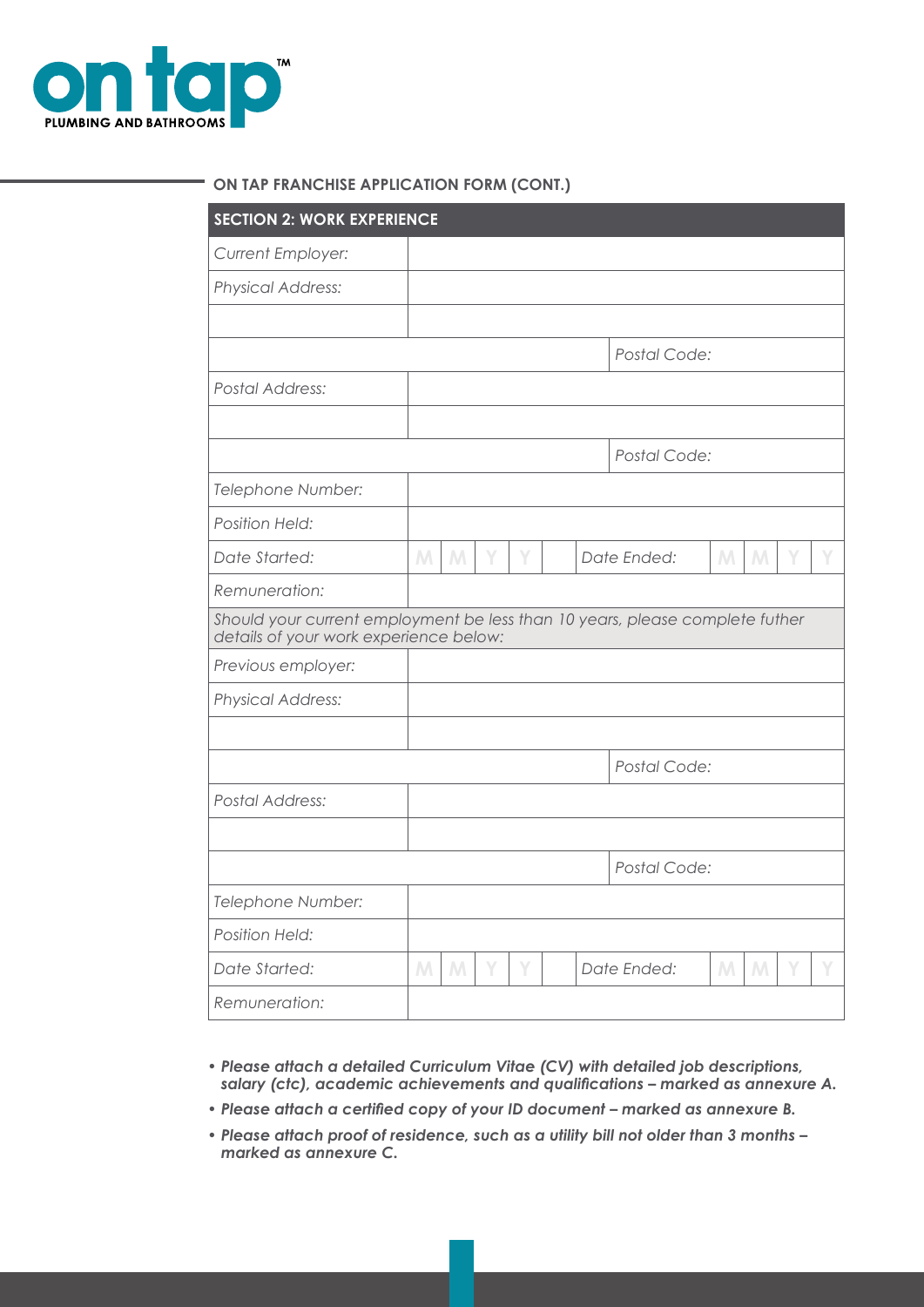

| <b>SECTION 2: WORK EXPERIENCE</b>                                                                                      |   |   |   |   |  |              |   |   |  |
|------------------------------------------------------------------------------------------------------------------------|---|---|---|---|--|--------------|---|---|--|
| Current Employer:                                                                                                      |   |   |   |   |  |              |   |   |  |
| <b>Physical Address:</b>                                                                                               |   |   |   |   |  |              |   |   |  |
|                                                                                                                        |   |   |   |   |  |              |   |   |  |
|                                                                                                                        |   |   |   |   |  | Postal Code: |   |   |  |
| Postal Address:                                                                                                        |   |   |   |   |  |              |   |   |  |
|                                                                                                                        |   |   |   |   |  |              |   |   |  |
|                                                                                                                        |   |   |   |   |  | Postal Code: |   |   |  |
| Telephone Number:                                                                                                      |   |   |   |   |  |              |   |   |  |
| <b>Position Held:</b>                                                                                                  |   |   |   |   |  |              |   |   |  |
| Date Started:                                                                                                          | M | M | Y | Y |  | Date Ended:  | M | M |  |
| Remuneration:                                                                                                          |   |   |   |   |  |              |   |   |  |
| Should your current employment be less than 10 years, please complete futher<br>details of your work experience below: |   |   |   |   |  |              |   |   |  |
| Previous employer:                                                                                                     |   |   |   |   |  |              |   |   |  |
| <b>Physical Address:</b>                                                                                               |   |   |   |   |  |              |   |   |  |
|                                                                                                                        |   |   |   |   |  |              |   |   |  |
|                                                                                                                        |   |   |   |   |  | Postal Code: |   |   |  |
| Postal Address:                                                                                                        |   |   |   |   |  |              |   |   |  |
|                                                                                                                        |   |   |   |   |  |              |   |   |  |
|                                                                                                                        |   |   |   |   |  | Postal Code: |   |   |  |
| Telephone Number:                                                                                                      |   |   |   |   |  |              |   |   |  |
| Position Held:                                                                                                         |   |   |   |   |  |              |   |   |  |
| Date Started:                                                                                                          | M | M | Y | Y |  | Date Ended:  | M | M |  |
| Remuneration:                                                                                                          |   |   |   |   |  |              |   |   |  |

- *Please attach a detailed Curriculum Vitae (CV) with detailed job descriptions, salary (ctc), academic achievements and qualifications – marked as annexure A.*
- *Please attach a certified copy of your ID document marked as annexure B.*
- *Please attach proof of residence, such as a utility bill not older than 3 months marked as annexure C.*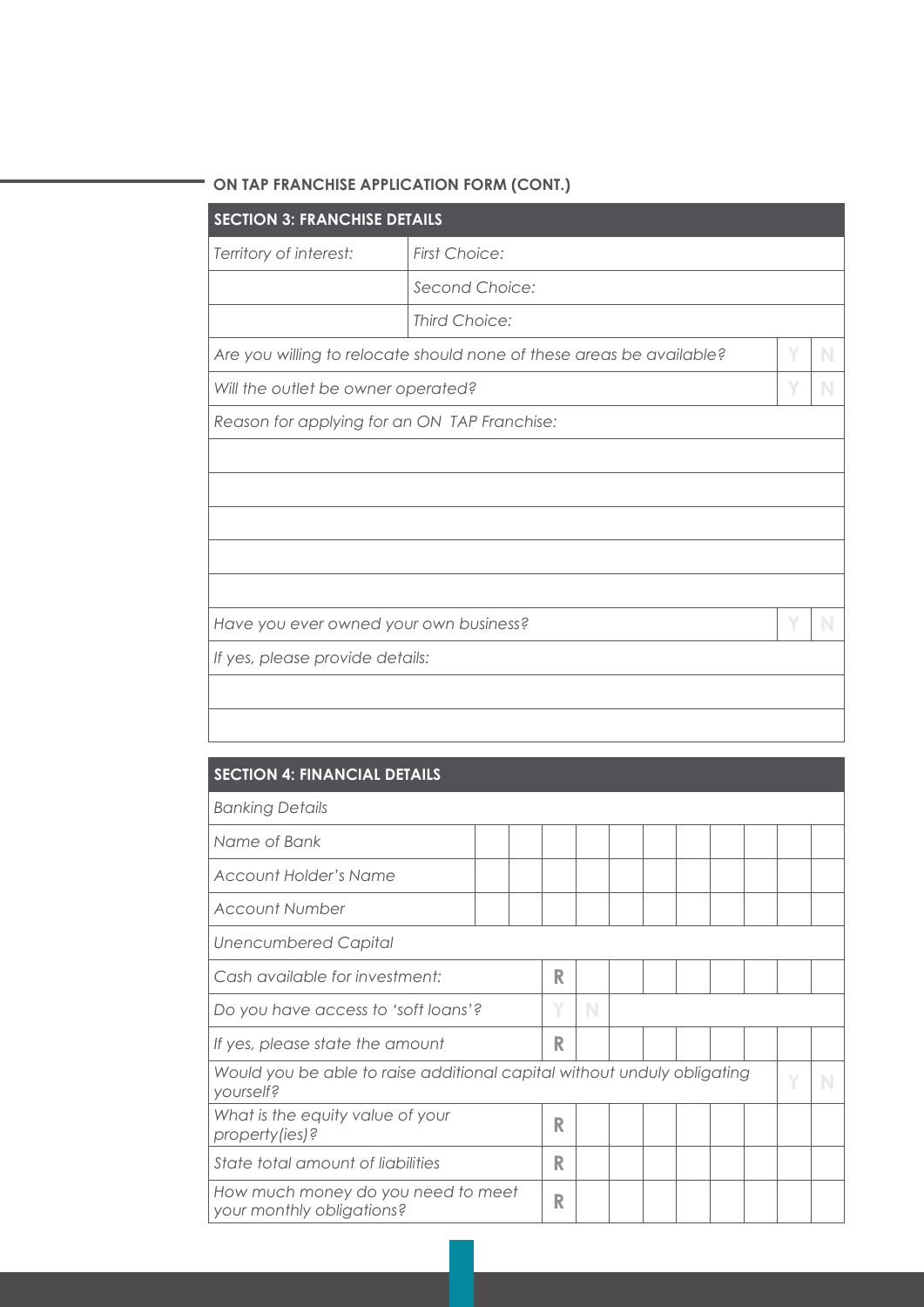| <b>SECTION 3: FRANCHISE DETAILS</b>          |                                                                      |   |   |
|----------------------------------------------|----------------------------------------------------------------------|---|---|
| Territory of interest:                       | <b>First Choice:</b>                                                 |   |   |
|                                              | Second Choice:                                                       |   |   |
|                                              | Third Choice:                                                        |   |   |
|                                              | Are you willing to relocate should none of these areas be available? | Υ | N |
| Will the outlet be owner operated?           |                                                                      | Υ | N |
| Reason for applying for an ON TAP Franchise: |                                                                      |   |   |
|                                              |                                                                      |   |   |
|                                              |                                                                      |   |   |
|                                              |                                                                      |   |   |
|                                              |                                                                      |   |   |
|                                              |                                                                      |   |   |
| Have you ever owned your own business?       |                                                                      | Υ | N |
| If yes, please provide details:              |                                                                      |   |   |
|                                              |                                                                      |   |   |

| <b>SECTION 4: FINANCIAL DETAILS</b>                                                  |   |   |  |  |  |   |
|--------------------------------------------------------------------------------------|---|---|--|--|--|---|
| <b>Banking Details</b>                                                               |   |   |  |  |  |   |
| Name of Bank                                                                         |   |   |  |  |  |   |
| <b>Account Holder's Name</b>                                                         |   |   |  |  |  |   |
| <b>Account Number</b>                                                                |   |   |  |  |  |   |
| <b>Unencumbered Capital</b>                                                          |   |   |  |  |  |   |
| Cash available for investment:                                                       | R |   |  |  |  |   |
| Do you have access to 'soft loans'?                                                  | Y | N |  |  |  |   |
| If yes, please state the amount                                                      | R |   |  |  |  |   |
| Would you be able to raise additional capital without unduly obligating<br>yourself? |   |   |  |  |  | N |
| What is the equity value of your<br>property(ies)?                                   | R |   |  |  |  |   |
| State total amount of liabilities                                                    | R |   |  |  |  |   |
| How much money do you need to meet<br>your monthly obligations?                      | R |   |  |  |  |   |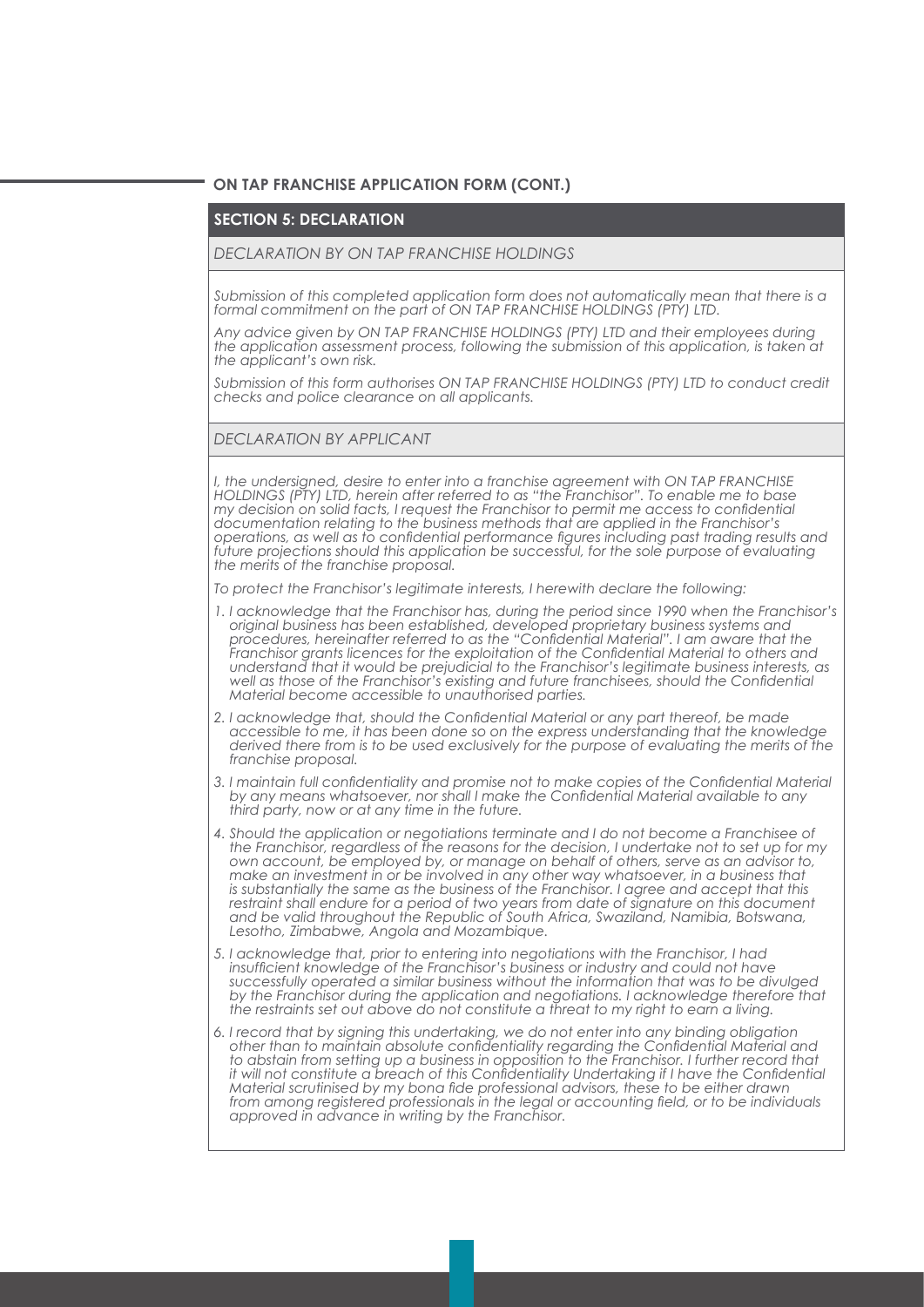## **SECTION 5: DECLARATION**

*DECLARATION BY ON TAP FRANCHISE HOLDINGS*

*Submission of this completed application form does not automatically mean that there is a*  formal commitment on the part of ON TAP FRANCHISE HOLDINGS (PTY) LTD.

*Any advice given by ON TAP FRANCHISE HOLDINGS (PTY) LTD and their employees during the application assessment process, following the submission of this application, is taken at the applicant's own risk.*

*Submission of this form authorises ON TAP FRANCHISE HOLDINGS (PTY) LTD to conduct credit checks and police clearance on all applicants.*

*DECLARATION BY APPLICANT*

*I, the undersigned, desire to enter into a franchise agreement with ON TAP FRANCHISE HOLDINGS (PTY) LTD, herein after referred to as "the Franchisor". To enable me to base my decision on solid facts, I request the Franchisor to permit me access to confidential documentation relating to the business methods that are applied in the Franchisor's operations, as well as to confidential performance figures including past trading results and future projections should this application be successful, for the sole purpose of evaluating the merits of the franchise proposal.*

*To protect the Franchisor's legitimate interests, I herewith declare the following:*

- *1. I acknowledge that the Franchisor has, during the period since 1990 when the Franchisor's original business has been established, developed proprietary business systems and procedures, hereinafter referred to as the "Confidential Material". I am aware that the Franchisor grants licences for the exploitation of the Confidential Material to others and understand that it would be prejudicial to the Franchisor's legitimate business interests, as*  well as those of the Franchisor's existing and future franchisees, should the Confidential *Material become accessible to unauthorised parties.*
- *2. I acknowledge that, should the Confidential Material or any part thereof, be made accessible to me, it has been done so on the express understanding that the knowledge*  derived there from is to be used exclusively for the purpose of evaluating the merits of the *franchise proposal.*
- *3. I maintain full confidentiality and promise not to make copies of the Confidential Material by any means whatsoever, nor shall I make the Confidential Material available to any third party, now or at any time in the future.*
- *4. Should the application or negotiations terminate and I do not become a Franchisee of the Franchisor, regardless of the reasons for the decision, I undertake not to set up for my own account, be employed by, or manage on behalf of others, serve as an advisor to, make an investment in or be involved in any other way whatsoever, in a business that is substantially the same as the business of the Franchisor. I agree and accept that this restraint shall endure for a period of two years from date of signature on this document and be valid throughout the Republic of South Africa, Swaziland, Namibia, Botswana, Lesotho, Zimbabwe, Angola and Mozambique.*
- *5. I acknowledge that, prior to entering into negotiations with the Franchisor, I had insufficient knowledge of the Franchisor's business or industry and could not have successfully operated a similar business without the information that was to be divulged by the Franchisor during the application and negotiations. I acknowledge therefore that the restraints set out above do not constitute a threat to my right to earn a living.*
- *6. I record that by signing this undertaking, we do not enter into any binding obligation other than to maintain absolute confidentiality regarding the Confidential Material and to abstain from setting up a business in opposition to the Franchisor. I further record that it will not constitute a breach of this Confidentiality Undertaking if I have the Confidential Material scrutinised by my bona fide professional advisors, these to be either drawn from among registered professionals in the legal or accounting field, or to be individuals approved in advance in writing by the Franchisor.*